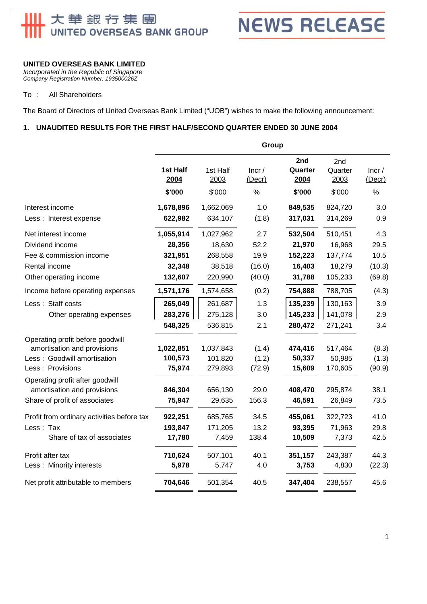# **Ⅲ 大華銀行集團**

**NEWS RELEASE** 

# **UNITED OVERSEAS BANK LIMITED**

*Incorporated in the Republic of Singapore Company Registration Number: 193500026Z* 

#### To : All Shareholders

The Board of Directors of United Overseas Bank Limited ("UOB") wishes to make the following announcement:

## **1. UNAUDITED RESULTS FOR THE FIRST HALF/SECOND QUARTER ENDED 30 JUNE 2004**

|                                                                                                                     | Group                          |                                 |                                  |                                  |                                  |                                        |
|---------------------------------------------------------------------------------------------------------------------|--------------------------------|---------------------------------|----------------------------------|----------------------------------|----------------------------------|----------------------------------------|
|                                                                                                                     | 1st Half<br>2004<br>\$'000     | 1st Half<br>2003<br>\$'000      | lncr/<br>(Decr)<br>$\frac{0}{0}$ | 2nd<br>Quarter<br>2004<br>\$'000 | 2nd<br>Quarter<br>2003<br>\$'000 | lncr/<br>$($ Decr $)$<br>$\frac{0}{0}$ |
| Interest income                                                                                                     | 1,678,896                      | 1,662,069                       | 1.0                              | 849,535                          | 824,720                          | 3.0                                    |
| Less: Interest expense                                                                                              | 622,982                        | 634,107                         | (1.8)                            | 317,031                          | 314,269                          | 0.9                                    |
| Net interest income                                                                                                 | 1,055,914                      | 1,027,962                       | 2.7                              | 532,504                          | 510,451                          | 4.3                                    |
| Dividend income                                                                                                     | 28,356                         | 18,630                          | 52.2                             | 21,970                           | 16,968                           | 29.5                                   |
| Fee & commission income                                                                                             | 321,951                        | 268,558                         | 19.9                             | 152,223                          | 137,774                          | 10.5                                   |
| Rental income                                                                                                       | 32,348                         | 38,518                          | (16.0)                           | 16,403                           | 18,279                           | (10.3)                                 |
| Other operating income                                                                                              | 132,607                        | 220,990                         | (40.0)                           | 31,788                           | 105,233                          | (69.8)                                 |
| Income before operating expenses                                                                                    | 1,571,176                      | 1,574,658                       | (0.2)                            | 754,888                          | 788,705                          | (4.3)                                  |
| Less: Staff costs                                                                                                   | 265,049                        | 261,687                         | 1.3                              | 135,239                          | 130,163                          | 3.9                                    |
| Other operating expenses                                                                                            | 283,276                        | 275,128                         | 3.0                              | 145,233                          | 141,078                          | 2.9                                    |
|                                                                                                                     | 548,325                        | 536,815                         | 2.1                              | 280,472                          | 271,241                          | 3.4                                    |
| Operating profit before goodwill<br>amortisation and provisions<br>Less: Goodwill amortisation<br>Less : Provisions | 1,022,851<br>100,573<br>75,974 | 1,037,843<br>101,820<br>279,893 | (1.4)<br>(1.2)<br>(72.9)         | 474,416<br>50,337<br>15,609      | 517,464<br>50,985<br>170,605     | (8.3)<br>(1.3)<br>(90.9)               |
| Operating profit after goodwill<br>amortisation and provisions<br>Share of profit of associates                     | 846,304<br>75,947              | 656,130<br>29,635               | 29.0<br>156.3                    | 408,470<br>46,591                | 295,874<br>26,849                | 38.1<br>73.5                           |
| Profit from ordinary activities before tax<br>Less: Tax<br>Share of tax of associates                               | 922,251<br>193,847<br>17,780   | 685,765<br>171,205<br>7,459     | 34.5<br>13.2<br>138.4            | 455,061<br>93,395<br>10,509      | 322,723<br>71,963<br>7,373       | 41.0<br>29.8<br>42.5                   |
| Profit after tax<br>Less: Minority interests                                                                        | 710,624<br>5,978               | 507,101<br>5,747                | 40.1<br>4.0                      | 351,157<br>3,753                 | 243,387<br>4,830                 | 44.3<br>(22.3)                         |
| Net profit attributable to members                                                                                  | 704,646                        | 501,354                         | 40.5                             | 347,404                          | 238,557                          | 45.6                                   |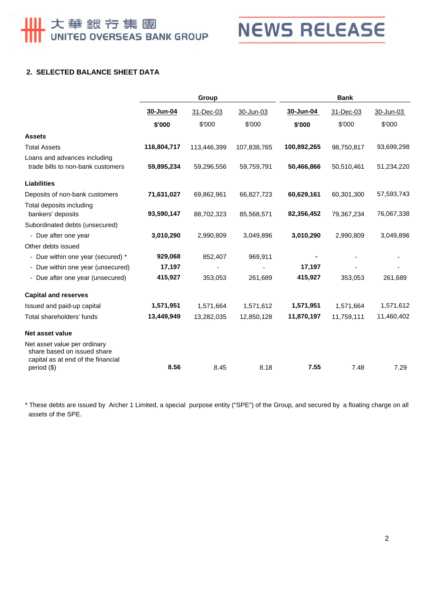

# **2. SELECTED BALANCE SHEET DATA**

|                                                                                                   | Group       |             |             | <b>Bank</b> |            |            |  |
|---------------------------------------------------------------------------------------------------|-------------|-------------|-------------|-------------|------------|------------|--|
|                                                                                                   | 30-Jun-04   | 31-Dec-03   | 30-Jun-03   | 30-Jun-04   | 31-Dec-03  | 30-Jun-03  |  |
|                                                                                                   | \$'000      | \$'000      | \$'000      | \$'000      | \$'000     | \$'000     |  |
| <b>Assets</b>                                                                                     |             |             |             |             |            |            |  |
| <b>Total Assets</b>                                                                               | 116,804,717 | 113,446,399 | 107,838,765 | 100,892,265 | 98,750,817 | 93,699,298 |  |
| Loans and advances including<br>trade bills to non-bank customers                                 | 59,895,234  | 59,296,556  | 59,759,791  | 50,466,866  | 50,510,461 | 51,234,220 |  |
| <b>Liabilities</b>                                                                                |             |             |             |             |            |            |  |
| Deposits of non-bank customers                                                                    | 71,631,027  | 69,862,961  | 66,827,723  | 60,629,161  | 60,301,300 | 57,593,743 |  |
| Total deposits including<br>bankers' deposits                                                     | 93,590,147  | 88,702,323  | 85,568,571  | 82,356,452  | 79,367,234 | 76,067,338 |  |
| Subordinated debts (unsecured)                                                                    |             |             |             |             |            |            |  |
| - Due after one year                                                                              | 3,010,290   | 2,990,809   | 3,049,896   | 3,010,290   | 2,990,809  | 3,049,896  |  |
| Other debts issued                                                                                |             |             |             |             |            |            |  |
| - Due within one year (secured) *                                                                 | 929,068     | 852,407     | 969,911     |             |            |            |  |
| - Due within one year (unsecured)                                                                 | 17,197      |             |             | 17,197      |            |            |  |
| - Due after one year (unsecured)                                                                  | 415,927     | 353,053     | 261,689     | 415,927     | 353,053    | 261,689    |  |
| <b>Capital and reserves</b>                                                                       |             |             |             |             |            |            |  |
| Issued and paid-up capital                                                                        | 1,571,951   | 1,571,664   | 1,571,612   | 1,571,951   | 1,571,664  | 1,571,612  |  |
| Total shareholders' funds                                                                         | 13,449,949  | 13,282,035  | 12,850,128  | 11,870,197  | 11,759,111 | 11,460,402 |  |
| Net asset value                                                                                   |             |             |             |             |            |            |  |
| Net asset value per ordinary<br>share based on issued share<br>capital as at end of the financial |             |             |             |             |            |            |  |
| period (\$)                                                                                       | 8.56        | 8.45        | 8.18        | 7.55        | 7.48       | 7.29       |  |

\* These debts are issued by Archer 1 Limited, a special purpose entity ("SPE") of the Group, and secured by a floating charge on all assets of the SPE.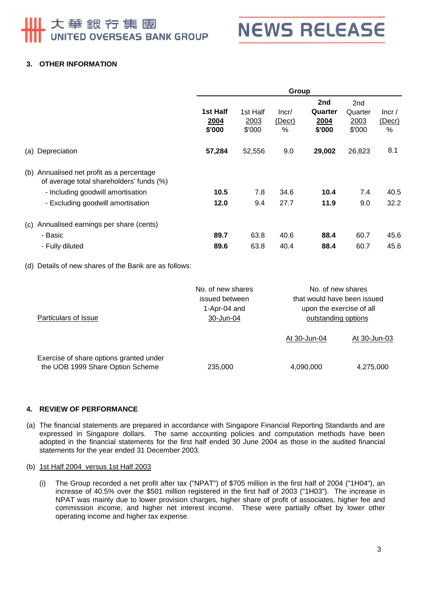# 大華銀行集團 UNITED OVERSEAS BANK GROUP



# **3. OTHER INFORMATION**

|     |                                                                                   | Group                      |                            |                         |                                  |                                  |                      |
|-----|-----------------------------------------------------------------------------------|----------------------------|----------------------------|-------------------------|----------------------------------|----------------------------------|----------------------|
|     |                                                                                   | 1st Half<br>2004<br>\$'000 | 1st Half<br>2003<br>\$'000 | Incr/<br>(Decr)<br>$\%$ | 2nd<br>Quarter<br>2004<br>\$'000 | 2nd<br>Quarter<br>2003<br>\$'000 | lncr/<br>(Decr)<br>% |
| (a) | Depreciation                                                                      | 57,284                     | 52,556                     | 9.0                     | 29,002                           | 26,823                           | 8.1                  |
| (b) | Annualised net profit as a percentage<br>of average total shareholders' funds (%) |                            |                            |                         |                                  |                                  |                      |
|     | - Including goodwill amortisation                                                 | 10.5                       | 7.8                        | 34.6                    | 10.4                             | 7.4                              | 40.5                 |
|     | - Excluding goodwill amortisation                                                 | 12.0                       | 9.4                        | 27.7                    | 11.9                             | 9.0                              | 32.2                 |
| (c) | Annualised earnings per share (cents)                                             |                            |                            |                         |                                  |                                  |                      |
|     | - Basic                                                                           | 89.7                       | 63.8                       | 40.6                    | 88.4                             | 60.7                             | 45.6                 |
|     | - Fully diluted                                                                   | 89.6                       | 63.8                       | 40.4                    | 88.4                             | 60.7                             | 45.6                 |

(d) Details of new shares of the Bank are as follows:

| Particulars of Issue                                                        | No. of new shares<br>issued between<br>1-Apr-04 and<br>30-Jun-04 |              | No. of new shares<br>that would have been issued<br>upon the exercise of all<br>outstanding options |  |  |
|-----------------------------------------------------------------------------|------------------------------------------------------------------|--------------|-----------------------------------------------------------------------------------------------------|--|--|
|                                                                             |                                                                  | At 30-Jun-04 | At 30-Jun-03                                                                                        |  |  |
| Exercise of share options granted under<br>the UOB 1999 Share Option Scheme | 235,000                                                          | 4,090,000    | 4,275,000                                                                                           |  |  |

#### **4. REVIEW OF PERFORMANCE**

(a) The financial statements are prepared in accordance with Singapore Financial Reporting Standards and are expressed in Singapore dollars. The same accounting policies and computation methods have been adopted in the financial statements for the first half ended 30 June 2004 as those in the audited financial statements for the year ended 31 December 2003.

#### (b) 1st Half 2004 versus 1st Half 2003

(i) The Group recorded a net profit after tax ("NPAT") of \$705 million in the first half of 2004 ("1H04"), an increase of 40.5% over the \$501 million registered in the first half of 2003 ("1H03"). The increase in NPAT was mainly due to lower provision charges, higher share of profit of associates, higher fee and commission income, and higher net interest income. These were partially offset by lower other operating income and higher tax expense.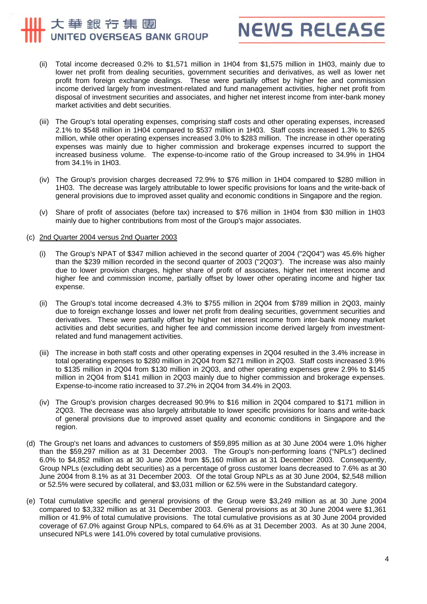# 大華銀行集團 UNITED OVERSEAS BANK GROUP



- (ii) Total income decreased 0.2% to \$1,571 million in 1H04 from \$1,575 million in 1H03, mainly due to lower net profit from dealing securities, government securities and derivatives, as well as lower net profit from foreign exchange dealings. These were partially offset by higher fee and commission income derived largely from investment-related and fund management activities, higher net profit from disposal of investment securities and associates, and higher net interest income from inter-bank money market activities and debt securities.
- (iii) The Group's total operating expenses, comprising staff costs and other operating expenses, increased 2.1% to \$548 million in 1H04 compared to \$537 million in 1H03. Staff costs increased 1.3% to \$265 million, while other operating expenses increased 3.0% to \$283 million. The increase in other operating expenses was mainly due to higher commission and brokerage expenses incurred to support the increased business volume. The expense-to-income ratio of the Group increased to 34.9% in 1H04 from 34.1% in 1H03.
- (iv) The Group's provision charges decreased 72.9% to \$76 million in 1H04 compared to \$280 million in 1H03. The decrease was largely attributable to lower specific provisions for loans and the write-back of general provisions due to improved asset quality and economic conditions in Singapore and the region.
- (v) Share of profit of associates (before tax) increased to \$76 million in 1H04 from \$30 million in 1H03 mainly due to higher contributions from most of the Group's major associates.

#### (c) 2nd Quarter 2004 versus 2nd Quarter 2003

- (i) The Group's NPAT of \$347 million achieved in the second quarter of 2004 ("2Q04") was 45.6% higher than the \$239 million recorded in the second quarter of 2003 ("2Q03"). The increase was also mainly due to lower provision charges, higher share of profit of associates, higher net interest income and higher fee and commission income, partially offset by lower other operating income and higher tax expense.
- (ii) The Group's total income decreased 4.3% to \$755 million in 2Q04 from \$789 million in 2Q03, mainly due to foreign exchange losses and lower net profit from dealing securities, government securities and derivatives. These were partially offset by higher net interest income from inter-bank money market activities and debt securities, and higher fee and commission income derived largely from investmentrelated and fund management activities.
- (iii) The increase in both staff costs and other operating expenses in 2Q04 resulted in the 3.4% increase in total operating expenses to \$280 million in 2Q04 from \$271 million in 2Q03. Staff costs increased 3.9% to \$135 million in 2Q04 from \$130 million in 2Q03, and other operating expenses grew 2.9% to \$145 million in 2Q04 from \$141 million in 2Q03 mainly due to higher commission and brokerage expenses. Expense-to-income ratio increased to 37.2% in 2Q04 from 34.4% in 2Q03.
- (iv) The Group's provision charges decreased 90.9% to \$16 million in 2Q04 compared to \$171 million in 2Q03. The decrease was also largely attributable to lower specific provisions for loans and write-back of general provisions due to improved asset quality and economic conditions in Singapore and the region.
- (d) The Group's net loans and advances to customers of \$59,895 million as at 30 June 2004 were 1.0% higher than the \$59,297 million as at 31 December 2003. The Group's non-performing loans ("NPLs") declined 6.0% to \$4,852 million as at 30 June 2004 from \$5,160 million as at 31 December 2003. Consequently, Group NPLs (excluding debt securities) as a percentage of gross customer loans decreased to 7.6% as at 30 June 2004 from 8.1% as at 31 December 2003. Of the total Group NPLs as at 30 June 2004, \$2,548 million or 52.5% were secured by collateral, and \$3,031 million or 62.5% were in the Substandard category.
- (e) Total cumulative specific and general provisions of the Group were \$3,249 million as at 30 June 2004 compared to \$3,332 million as at 31 December 2003. General provisions as at 30 June 2004 were \$1,361 million or 41.9% of total cumulative provisions. The total cumulative provisions as at 30 June 2004 provided coverage of 67.0% against Group NPLs, compared to 64.6% as at 31 December 2003. As at 30 June 2004, unsecured NPLs were 141.0% covered by total cumulative provisions.